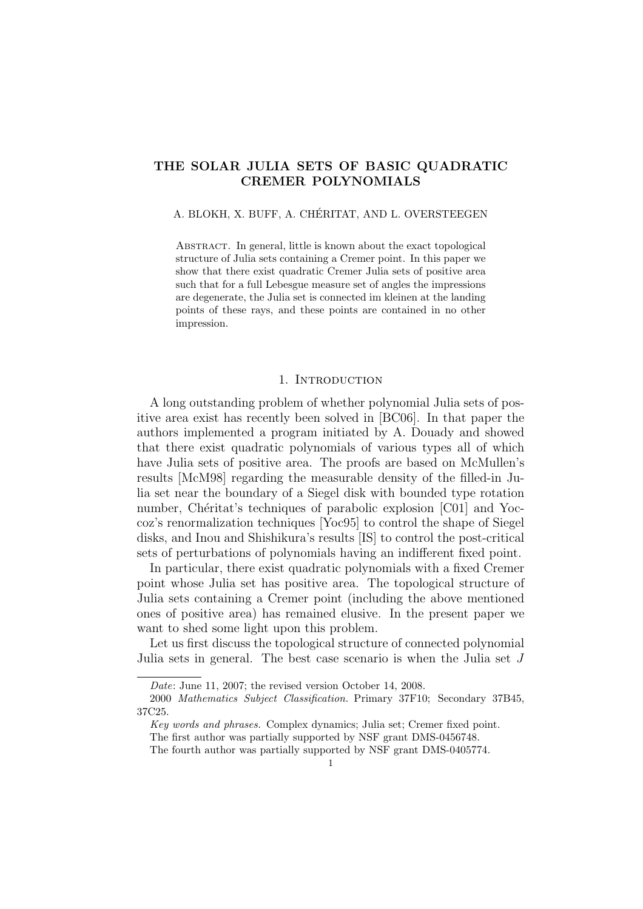# THE SOLAR JULIA SETS OF BASIC QUADRATIC CREMER POLYNOMIALS

## A. BLOKH, X. BUFF, A. CHÉRITAT, AND L. OVERSTEEGEN

Abstract. In general, little is known about the exact topological structure of Julia sets containing a Cremer point. In this paper we show that there exist quadratic Cremer Julia sets of positive area such that for a full Lebesgue measure set of angles the impressions are degenerate, the Julia set is connected im kleinen at the landing points of these rays, and these points are contained in no other impression.

#### 1. Introduction

A long outstanding problem of whether polynomial Julia sets of positive area exist has recently been solved in [BC06]. In that paper the authors implemented a program initiated by A. Douady and showed that there exist quadratic polynomials of various types all of which have Julia sets of positive area. The proofs are based on McMullen's results [McM98] regarding the measurable density of the filled-in Julia set near the boundary of a Siegel disk with bounded type rotation number, Chéritat's techniques of parabolic explosion [C01] and Yoccoz's renormalization techniques [Yoc95] to control the shape of Siegel disks, and Inou and Shishikura's results [IS] to control the post-critical sets of perturbations of polynomials having an indifferent fixed point.

In particular, there exist quadratic polynomials with a fixed Cremer point whose Julia set has positive area. The topological structure of Julia sets containing a Cremer point (including the above mentioned ones of positive area) has remained elusive. In the present paper we want to shed some light upon this problem.

Let us first discuss the topological structure of connected polynomial Julia sets in general. The best case scenario is when the Julia set J

Date: June 11, 2007; the revised version October 14, 2008.

<sup>2000</sup> Mathematics Subject Classification. Primary 37F10; Secondary 37B45, 37C25.

Key words and phrases. Complex dynamics; Julia set; Cremer fixed point.

The first author was partially supported by NSF grant DMS-0456748.

The fourth author was partially supported by NSF grant DMS-0405774.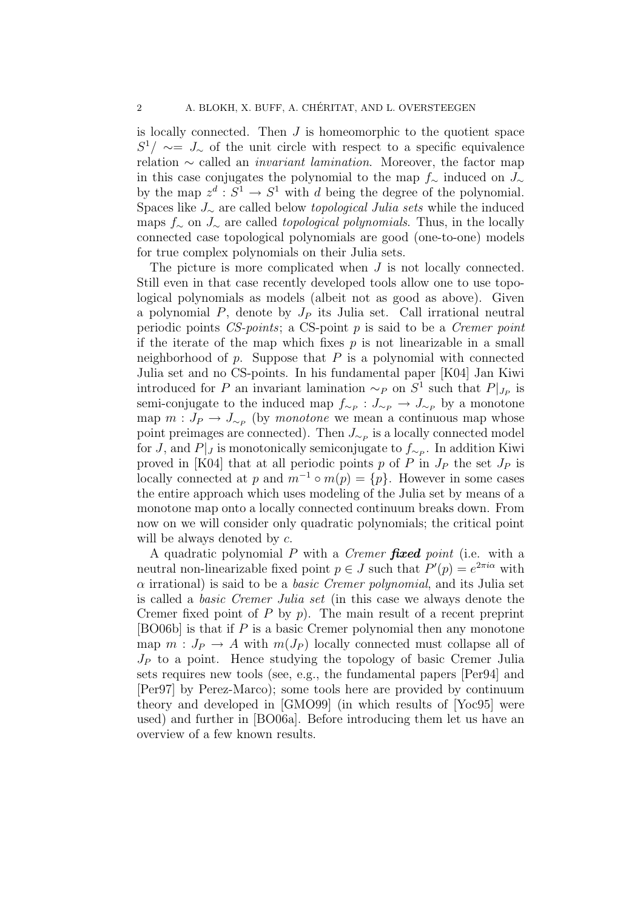is locally connected. Then J is homeomorphic to the quotient space  $S^1/\sim = J_{\sim}$  of the unit circle with respect to a specific equivalence relation  $\sim$  called an *invariant lamination*. Moreover, the factor map in this case conjugates the polynomial to the map  $f_$ ∼ induced on  $J_$ ∼ by the map  $z^d : S^1 \to S^1$  with d being the degree of the polynomial. Spaces like J<sup>∼</sup> are called below topological Julia sets while the induced maps  $f_$ ∼ on  $J_$ ∼ are called *topological polynomials*. Thus, in the locally connected case topological polynomials are good (one-to-one) models for true complex polynomials on their Julia sets.

The picture is more complicated when  $J$  is not locally connected. Still even in that case recently developed tools allow one to use topological polynomials as models (albeit not as good as above). Given a polynomial  $P$ , denote by  $J_P$  its Julia set. Call irrational neutral periodic points  $CS$ -points; a CS-point p is said to be a Cremer point if the iterate of the map which fixes  $p$  is not linearizable in a small neighborhood of  $p$ . Suppose that  $P$  is a polynomial with connected Julia set and no CS-points. In his fundamental paper [K04] Jan Kiwi introduced for P an invariant lamination  $\sim_P$  on  $S^1$  such that  $P|_{J_P}$  is semi-conjugate to the induced map  $f_{\sim_P}: J_{\sim_P} \to J_{\sim_P}$  by a monotone map  $m: J_P \to J_{\sim_P}$  (by monotone we mean a continuous map whose point preimages are connected). Then  $J_{\sim_P}$  is a locally connected model for J, and  $P|_J$  is monotonically semiconjugate to  $f_{\sim_P}$ . In addition Kiwi proved in [K04] that at all periodic points p of P in  $J_P$  the set  $J_P$  is locally connected at p and  $m^{-1} \circ m(p) = \{p\}$ . However in some cases the entire approach which uses modeling of the Julia set by means of a monotone map onto a locally connected continuum breaks down. From now on we will consider only quadratic polynomials; the critical point will be always denoted by  $c$ .

A quadratic polynomial  $P$  with a *Cremer* fixed point (i.e. with a neutral non-linearizable fixed point  $p \in J$  such that  $P'(p) = e^{2\pi i \alpha}$  with  $\alpha$  irrational) is said to be a *basic Cremer polynomial*, and its Julia set is called a basic Cremer Julia set (in this case we always denote the Cremer fixed point of  $P$  by  $p$ ). The main result of a recent preprint [BO06b] is that if P is a basic Cremer polynomial then any monotone map  $m: J_P \to A$  with  $m(J_P)$  locally connected must collapse all of  $J_P$  to a point. Hence studying the topology of basic Cremer Julia sets requires new tools (see, e.g., the fundamental papers [Per94] and [Per97] by Perez-Marco); some tools here are provided by continuum theory and developed in [GMO99] (in which results of [Yoc95] were used) and further in [BO06a]. Before introducing them let us have an overview of a few known results.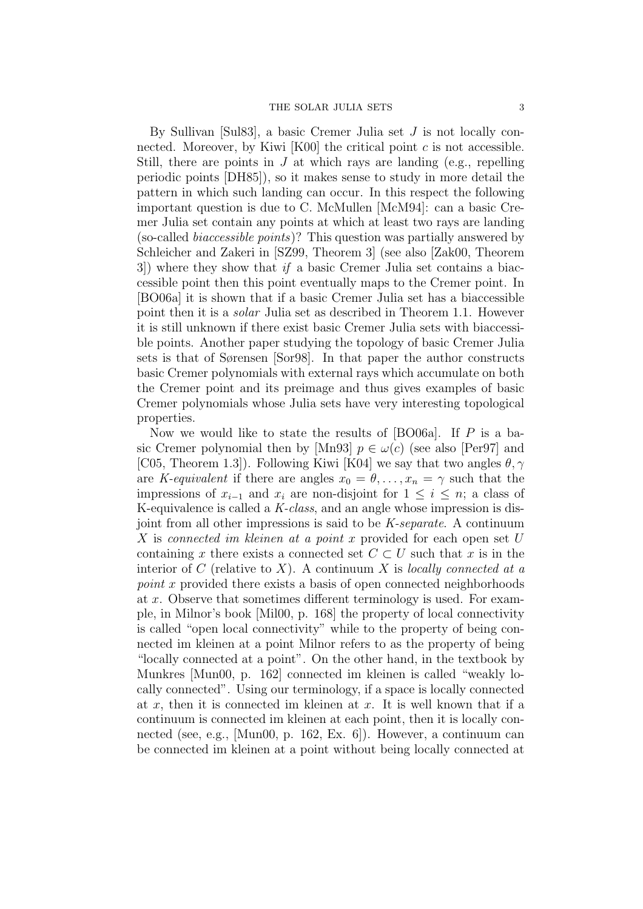By Sullivan [Sul83], a basic Cremer Julia set J is not locally connected. Moreover, by Kiwi  $[K00]$  the critical point c is not accessible. Still, there are points in  $J$  at which rays are landing (e.g., repelling periodic points [DH85]), so it makes sense to study in more detail the pattern in which such landing can occur. In this respect the following important question is due to C. McMullen [McM94]: can a basic Cremer Julia set contain any points at which at least two rays are landing (so-called biaccessible points)? This question was partially answered by Schleicher and Zakeri in [SZ99, Theorem 3] (see also [Zak00, Theorem 3]) where they show that if a basic Cremer Julia set contains a biaccessible point then this point eventually maps to the Cremer point. In [BO06a] it is shown that if a basic Cremer Julia set has a biaccessible point then it is a solar Julia set as described in Theorem 1.1. However it is still unknown if there exist basic Cremer Julia sets with biaccessible points. Another paper studying the topology of basic Cremer Julia sets is that of Sørensen [Sor98]. In that paper the author constructs basic Cremer polynomials with external rays which accumulate on both the Cremer point and its preimage and thus gives examples of basic Cremer polynomials whose Julia sets have very interesting topological properties.

Now we would like to state the results of [BO06a]. If P is a basic Cremer polynomial then by [Mn93]  $p \in \omega(c)$  (see also [Per97] and [C05, Theorem 1.3]). Following Kiwi [K04] we say that two angles  $\theta$ ,  $\gamma$ are K-equivalent if there are angles  $x_0 = \theta, \ldots, x_n = \gamma$  such that the impressions of  $x_{i-1}$  and  $x_i$  are non-disjoint for  $1 \leq i \leq n$ ; a class of K-equivalence is called a K-class, and an angle whose impression is disjoint from all other impressions is said to be K-separate. A continuum X is connected im kleinen at a point x provided for each open set U containing x there exists a connected set  $C \subset U$  such that x is in the interior of C (relative to X). A continuum X is locally connected at a point x provided there exists a basis of open connected neighborhoods at x. Observe that sometimes different terminology is used. For example, in Milnor's book [Mil00, p. 168] the property of local connectivity is called "open local connectivity" while to the property of being connected im kleinen at a point Milnor refers to as the property of being "locally connected at a point". On the other hand, in the textbook by Munkres [Mun00, p. 162] connected im kleinen is called "weakly locally connected". Using our terminology, if a space is locally connected at x, then it is connected im kleinen at x. It is well known that if a continuum is connected im kleinen at each point, then it is locally connected (see, e.g., [Mun00, p. 162, Ex. 6]). However, a continuum can be connected im kleinen at a point without being locally connected at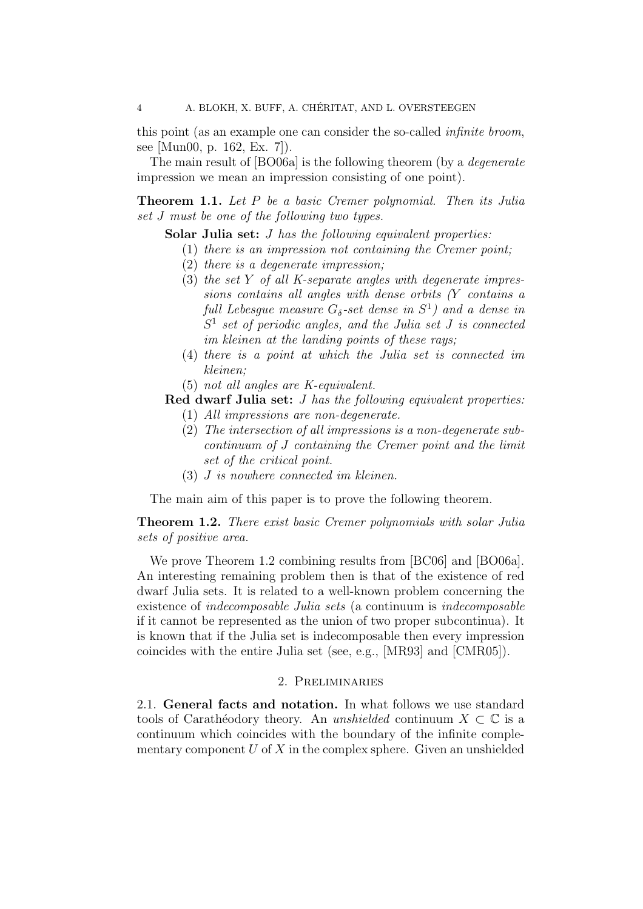this point (as an example one can consider the so-called infinite broom, see [Mun00, p. 162, Ex. 7]).

The main result of [BO06a] is the following theorem (by a *degenerate* impression we mean an impression consisting of one point).

Theorem 1.1. Let P be a basic Cremer polynomial. Then its Julia set J must be one of the following two types.

Solar Julia set: *J has the following equivalent properties*:

- (1) there is an impression not containing the Cremer point;
- (2) there is a degenerate impression;
- (3) the set Y of all K-separate angles with degenerate impressions contains all angles with dense orbits (Y contains a full Lebesgue measure  $G_{\delta}$ -set dense in  $S^{1}$ ) and a dense in  $S<sup>1</sup>$  set of periodic angles, and the Julia set J is connected im kleinen at the landing points of these rays;
- (4) there is a point at which the Julia set is connected im kleinen;
- (5) not all angles are K-equivalent.

# Red dwarf Julia set: *J has the following equivalent properties*:

- (1) All impressions are non-degenerate.
- (2) The intersection of all impressions is a non-degenerate subcontinuum of J containing the Cremer point and the limit set of the critical point.
- (3) J is nowhere connected im kleinen.

The main aim of this paper is to prove the following theorem.

Theorem 1.2. There exist basic Cremer polynomials with solar Julia sets of positive area.

We prove Theorem 1.2 combining results from [BC06] and [BO06a]. An interesting remaining problem then is that of the existence of red dwarf Julia sets. It is related to a well-known problem concerning the existence of indecomposable Julia sets (a continuum is indecomposable if it cannot be represented as the union of two proper subcontinua). It is known that if the Julia set is indecomposable then every impression coincides with the entire Julia set (see, e.g., [MR93] and [CMR05]).

# 2. Preliminaries

2.1. General facts and notation. In what follows we use standard tools of Carathéodory theory. An unshielded continuum  $X \subset \mathbb{C}$  is a continuum which coincides with the boundary of the infinite complementary component  $U$  of  $X$  in the complex sphere. Given an unshielded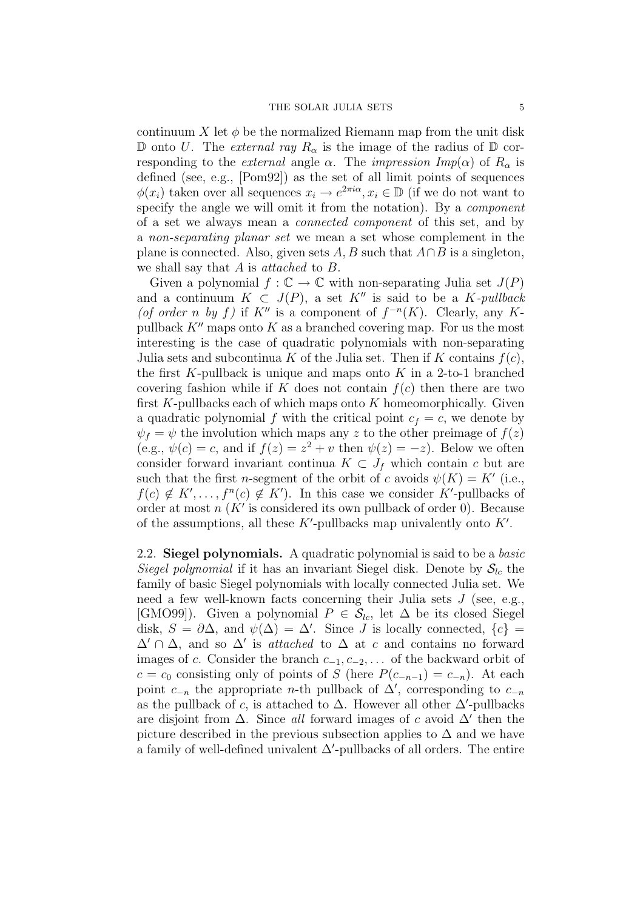continuum X let  $\phi$  be the normalized Riemann map from the unit disk D onto U. The external ray  $R_{\alpha}$  is the image of the radius of D corresponding to the *external* angle  $\alpha$ . The *impression Imp(* $\alpha$ *)* of  $R_{\alpha}$  is defined (see, e.g., [Pom92]) as the set of all limit points of sequences  $\phi(x_i)$  taken over all sequences  $x_i \to e^{2\pi i \alpha}, x_i \in \mathbb{D}$  (if we do not want to specify the angle we will omit it from the notation). By a *component* of a set we always mean a connected component of this set, and by a non-separating planar set we mean a set whose complement in the plane is connected. Also, given sets  $A, B$  such that  $A \cap B$  is a singleton, we shall say that  $A$  is *attached* to  $B$ .

Given a polynomial  $f : \mathbb{C} \to \mathbb{C}$  with non-separating Julia set  $J(P)$ and a continuum  $K \subset J(P)$ , a set K<sup>n</sup> is said to be a K-pullback (of order n by f) if K'' is a component of  $f^{-n}(K)$ . Clearly, any Kpullback  $K''$  maps onto K as a branched covering map. For us the most interesting is the case of quadratic polynomials with non-separating Julia sets and subcontinua K of the Julia set. Then if K contains  $f(c)$ , the first K-pullback is unique and maps onto K in a 2-to-1 branched covering fashion while if K does not contain  $f(c)$  then there are two first  $K$ -pullbacks each of which maps onto  $K$  homeomorphically. Given a quadratic polynomial f with the critical point  $c_f = c$ , we denote by  $\psi_f = \psi$  the involution which maps any z to the other preimage of  $f(z)$ (e.g.,  $\psi(c) = c$ , and if  $f(z) = z^2 + v$  then  $\psi(z) = -z$ ). Below we often consider forward invariant continua  $K \subset J_f$  which contain c but are such that the first *n*-segment of the orbit of c avoids  $\psi(K) = K'$  (i.e.,  $f(c) \notin K', \ldots, f^{n}(c) \notin K'$ . In this case we consider K'-pullbacks of order at most  $n(K'$  is considered its own pullback of order 0). Because of the assumptions, all these  $K'$ -pullbacks map univalently onto  $K'$ .

2.2. Siegel polynomials. A quadratic polynomial is said to be a basic Siegel polynomial if it has an invariant Siegel disk. Denote by  $S_{lc}$  the family of basic Siegel polynomials with locally connected Julia set. We need a few well-known facts concerning their Julia sets J (see, e.g., [GMO99]). Given a polynomial  $P \in \mathcal{S}_{lc}$ , let  $\Delta$  be its closed Siegel disk,  $S = \partial \Delta$ , and  $\psi(\Delta) = \Delta'$ . Since J is locally connected,  $\{c\}$  $\Delta' \cap \Delta$ , and so  $\Delta'$  is *attached* to  $\Delta$  at c and contains no forward images of c. Consider the branch  $c_{-1}, c_{-2}, \ldots$  of the backward orbit of  $c = c_0$  consisting only of points of S (here  $P(c_{-n-1}) = c_{-n}$ ). At each point  $c_{-n}$  the appropriate *n*-th pullback of  $\Delta'$ , corresponding to  $c_{-n}$ as the pullback of c, is attached to  $\Delta$ . However all other  $\Delta'$ -pullbacks are disjoint from  $\Delta$ . Since all forward images of c avoid  $\Delta'$  then the picture described in the previous subsection applies to  $\Delta$  and we have a family of well-defined univalent  $\Delta'$ -pullbacks of all orders. The entire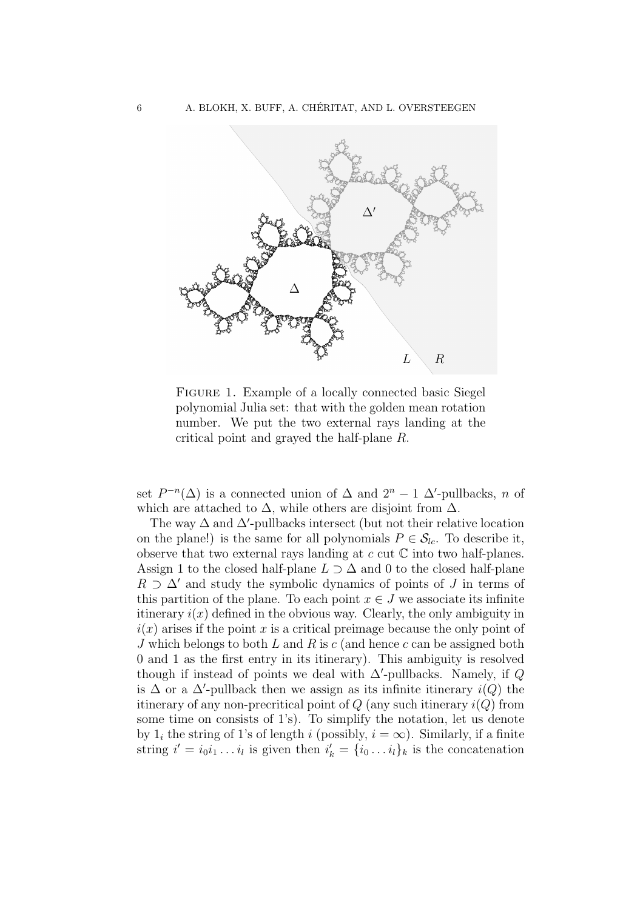

FIGURE 1. Example of a locally connected basic Siegel polynomial Julia set: that with the golden mean rotation number. We put the two external rays landing at the critical point and grayed the half-plane R.

set  $P^{-n}(\Delta)$  is a connected union of  $\Delta$  and  $2^n - 1$   $\Delta'$ -pullbacks, n of which are attached to  $\Delta$ , while others are disjoint from  $\Delta$ .

The way  $\Delta$  and  $\Delta'$ -pullbacks intersect (but not their relative location on the plane!) is the same for all polynomials  $P \in S_{lc}$ . To describe it, observe that two external rays landing at  $c$  cut  $\mathbb C$  into two half-planes. Assign 1 to the closed half-plane  $L \supset \Delta$  and 0 to the closed half-plane  $R \supset \Delta'$  and study the symbolic dynamics of points of J in terms of this partition of the plane. To each point  $x \in J$  we associate its infinite itinerary  $i(x)$  defined in the obvious way. Clearly, the only ambiguity in  $i(x)$  arises if the point x is a critical preimage because the only point of J which belongs to both L and R is c (and hence c can be assigned both 0 and 1 as the first entry in its itinerary). This ambiguity is resolved though if instead of points we deal with  $\Delta'$ -pullbacks. Namely, if Q is  $\Delta$  or a  $\Delta'$ -pullback then we assign as its infinite itinerary  $i(Q)$  the itinerary of any non-precritical point of  $Q$  (any such itinerary  $i(Q)$ ) from some time on consists of 1's). To simplify the notation, let us denote by  $1_i$  the string of 1's of length i (possibly,  $i = \infty$ ). Similarly, if a finite string  $i' = i_0 i_1 \dots i_l$  is given then  $i'_k = \{i_0 \dots i_l\}_k$  is the concatenation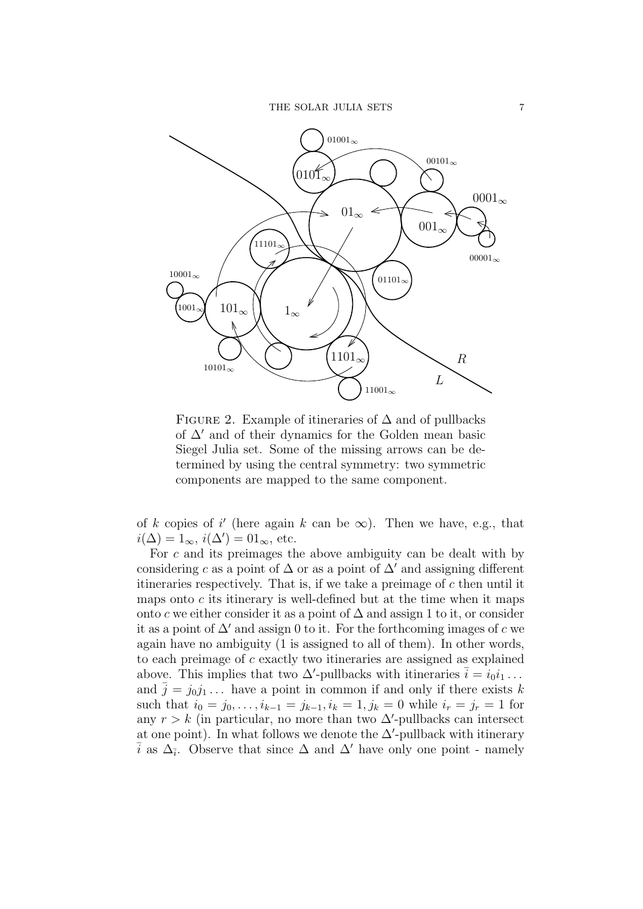

FIGURE 2. Example of itineraries of  $\Delta$  and of pullbacks of  $\Delta'$  and of their dynamics for the Golden mean basic Siegel Julia set. Some of the missing arrows can be determined by using the central symmetry: two symmetric components are mapped to the same component.

of k copies of i' (here again k can be  $\infty$ ). Then we have, e.g., that  $i(\Delta) = 1_{\infty}, i(\Delta') = 01_{\infty},$  etc.

For c and its preimages the above ambiguity can be dealt with by considering c as a point of  $\Delta$  or as a point of  $\Delta'$  and assigning different itineraries respectively. That is, if we take a preimage of  $c$  then until it maps onto  $c$  its itinerary is well-defined but at the time when it maps onto c we either consider it as a point of  $\Delta$  and assign 1 to it, or consider it as a point of  $\Delta'$  and assign 0 to it. For the forthcoming images of c we again have no ambiguity (1 is assigned to all of them). In other words, to each preimage of c exactly two itineraries are assigned as explained above. This implies that two  $\Delta'$ -pullbacks with itineraries  $\bar{i} = i_0 i_1 \ldots$ and  $\bar{j} = j_0 j_1 \dots$  have a point in common if and only if there exists k such that  $i_0 = j_0, \ldots, i_{k-1} = j_{k-1}, i_k = 1, j_k = 0$  while  $i_r = j_r = 1$  for any  $r > k$  (in particular, no more than two  $\Delta'$ -pullbacks can intersect at one point). In what follows we denote the  $\Delta'$ -pullback with itinerary  $\overline{i}$  as  $\Delta_{\overline{i}}$ . Observe that since  $\Delta$  and  $\Delta'$  have only one point - namely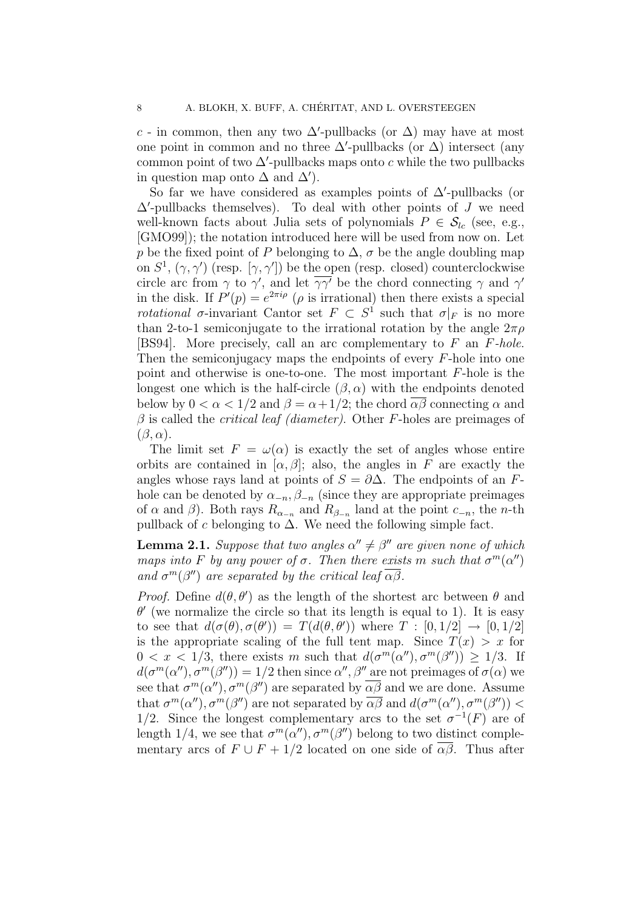c - in common, then any two  $\Delta'$ -pullbacks (or  $\Delta$ ) may have at most one point in common and no three  $\Delta'$ -pullbacks (or  $\Delta$ ) intersect (any common point of two  $\Delta'$ -pullbacks maps onto c while the two pullbacks in question map onto  $\Delta$  and  $\Delta'$ ).

So far we have considered as examples points of  $\Delta'$ -pullbacks (or  $\Delta'$ -pullbacks themselves). To deal with other points of J we need well-known facts about Julia sets of polynomials  $P \in \mathcal{S}_{lc}$  (see, e.g., [GMO99]); the notation introduced here will be used from now on. Let p be the fixed point of P belonging to  $\Delta$ ,  $\sigma$  be the angle doubling map on  $S^1$ ,  $(\gamma, \gamma')$  (resp.  $[\gamma, \gamma']$ ) be the open (resp. closed) counterclockwise circle arc from  $\gamma$  to  $\gamma'$ , and let  $\overline{\gamma\gamma'}$  be the chord connecting  $\gamma$  and  $\gamma'$ in the disk. If  $P'(p) = e^{2\pi i \rho}$  ( $\rho$  is irrational) then there exists a special *rotational*  $\sigma$ -invariant Cantor set  $F \subset S^1$  such that  $\sigma|_F$  is no more than 2-to-1 semiconjugate to the irrational rotation by the angle  $2\pi\rho$ [BS94]. More precisely, call an arc complementary to F an F-hole. Then the semiconjugacy maps the endpoints of every F-hole into one point and otherwise is one-to-one. The most important F-hole is the longest one which is the half-circle  $(\beta, \alpha)$  with the endpoints denoted below by  $0 < \alpha < 1/2$  and  $\beta = \alpha + 1/2$ ; the chord  $\alpha\beta$  connecting  $\alpha$  and  $\beta$  is called the *critical leaf (diameter)*. Other F-holes are preimages of  $(\beta, \alpha)$ .

The limit set  $F = \omega(\alpha)$  is exactly the set of angles whose entire orbits are contained in  $[\alpha, \beta]$ ; also, the angles in F are exactly the angles whose rays land at points of  $S = \partial \Delta$ . The endpoints of an Fhole can be denoted by  $\alpha_{-n}, \beta_{-n}$  (since they are appropriate preimages of  $\alpha$  and  $\beta$ ). Both rays  $R_{\alpha_{-n}}$  and  $R_{\beta_{-n}}$  land at the point  $c_{-n}$ , the *n*-th pullback of c belonging to  $\Delta$ . We need the following simple fact.

**Lemma 2.1.** Suppose that two angles  $\alpha'' \neq \beta''$  are given none of which maps into F by any power of  $\sigma$ . Then there exists m such that  $\sigma^m(\alpha'')$ and  $\sigma^m(\beta'')$  are separated by the critical leaf  $\overline{\alpha\beta}$ .

*Proof.* Define  $d(\theta, \theta')$  as the length of the shortest arc between  $\theta$  and  $\theta'$  (we normalize the circle so that its length is equal to 1). It is easy to see that  $d(\sigma(\theta), \sigma(\theta')) = T(d(\theta, \theta'))$  where  $T : [0, 1/2] \rightarrow [0, 1/2]$ is the appropriate scaling of the full tent map. Since  $T(x) > x$  for  $0 < x < 1/3$ , there exists m such that  $d(\sigma^m(\alpha''), \sigma^m(\beta'')) \geq 1/3$ . If  $d(\sigma^m(\alpha''), \sigma^m(\beta'')) = 1/2$  then since  $\alpha'', \beta''$  are not preimages of  $\sigma(\alpha)$  we see that  $\sigma^m(\alpha'')$ ,  $\sigma^m(\beta'')$  are separated by  $\overline{\alpha\beta}$  and we are done. Assume that  $\sigma^m(\alpha'')$ ,  $\sigma^m(\beta'')$  are not separated by  $\overline{\alpha\beta}$  and  $d(\sigma^m(\alpha''), \sigma^m(\beta''))$ 1/2. Since the longest complementary arcs to the set  $\sigma^{-1}(F)$  are of length 1/4, we see that  $\sigma^m(\alpha'')$ ,  $\sigma^m(\beta'')$  belong to two distinct complementary arcs of  $F \cup F + 1/2$  located on one side of  $\overline{\alpha\beta}$ . Thus after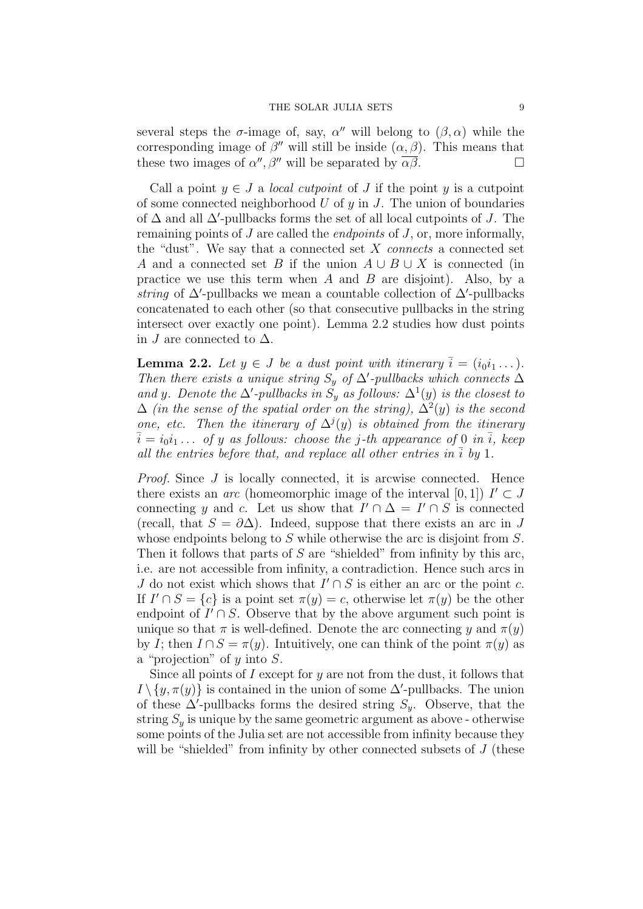several steps the  $\sigma$ -image of, say,  $\alpha''$  will belong to  $(\beta, \alpha)$  while the corresponding image of  $\beta''$  will still be inside  $(\alpha, \beta)$ . This means that these two images of  $\alpha'', \beta''$  will be separated by  $\overline{\alpha\beta}$ .

Call a point  $y \in J$  a *local cutpoint* of J if the point y is a cutpoint of some connected neighborhood  $U$  of  $y$  in  $J$ . The union of boundaries of  $\Delta$  and all  $\Delta'$ -pullbacks forms the set of all local cutpoints of J. The remaining points of  $J$  are called the *endpoints* of  $J$ , or, more informally, the "dust". We say that a connected set  $X$  connects a connected set A and a connected set B if the union  $A \cup B \cup X$  is connected (in practice we use this term when  $A$  and  $B$  are disjoint). Also, by a string of  $\Delta'$ -pullbacks we mean a countable collection of  $\Delta'$ -pullbacks concatenated to each other (so that consecutive pullbacks in the string intersect over exactly one point). Lemma 2.2 studies how dust points in J are connected to  $\Delta$ .

**Lemma 2.2.** Let  $y \in J$  be a dust point with itinerary  $\overline{i} = (i_0 i_1 \dots)$ . Then there exists a unique string  $S_y$  of  $\Delta'$ -pullbacks which connects  $\Delta$ and y. Denote the  $\Delta'$ -pullbacks in  $\tilde{S}_y$  as follows:  $\Delta^1(y)$  is the closest to  $\Delta$  (in the sense of the spatial order on the string),  $\Delta^2(y)$  is the second one, etc. Then the itinerary of  $\Delta^{j}(y)$  is obtained from the itinerary  $\overline{i} = i_0 i_1 \ldots$  of y as follows: choose the j-th appearance of 0 in  $\overline{i}$ , keep all the entries before that, and replace all other entries in  $\overline{i}$  by 1.

Proof. Since J is locally connected, it is arcwise connected. Hence there exists an *arc* (homeomorphic image of the interval [0, 1])  $I' \subset J$ connecting y and c. Let us show that  $I' \cap \Delta = I' \cap S$  is connected (recall, that  $S = \partial \Delta$ ). Indeed, suppose that there exists an arc in J whose endpoints belong to S while otherwise the arc is disjoint from S. Then it follows that parts of  $S$  are "shielded" from infinity by this arc, i.e. are not accessible from infinity, a contradiction. Hence such arcs in J do not exist which shows that  $I' \cap S$  is either an arc or the point c. If  $I' \cap S = \{c\}$  is a point set  $\pi(y) = c$ , otherwise let  $\pi(y)$  be the other endpoint of  $I' \cap S$ . Observe that by the above argument such point is unique so that  $\pi$  is well-defined. Denote the arc connecting y and  $\pi(y)$ by I; then  $I \cap S = \pi(y)$ . Intuitively, one can think of the point  $\pi(y)$  as a "projection" of  $y$  into  $S$ .

Since all points of  $I$  except for  $y$  are not from the dust, it follows that  $I \setminus \{y, \pi(y)\}\$ is contained in the union of some  $\Delta'$ -pullbacks. The union of these  $\Delta'$ -pullbacks forms the desired string  $S_y$ . Observe, that the string  $S_y$  is unique by the same geometric argument as above - otherwise some points of the Julia set are not accessible from infinity because they will be "shielded" from infinity by other connected subsets of  $J$  (these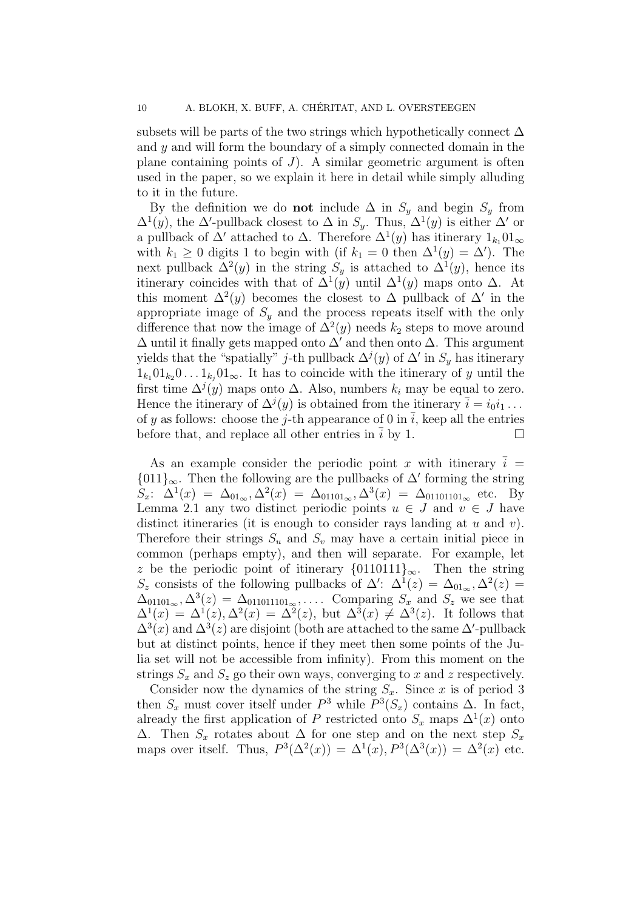subsets will be parts of the two strings which hypothetically connect  $\Delta$ and y and will form the boundary of a simply connected domain in the plane containing points of  $J$ ). A similar geometric argument is often used in the paper, so we explain it here in detail while simply alluding to it in the future.

By the definition we do **not** include  $\Delta$  in  $S_y$  and begin  $S_y$  from  $\Delta^1(y)$ , the  $\Delta'$ -pullback closest to  $\Delta$  in  $S_y$ . Thus,  $\Delta^1(y)$  is either  $\Delta'$  or a pullback of  $\Delta'$  attached to  $\Delta$ . Therefore  $\Delta^1(y)$  has itinerary  $1_{k_1}01_{\infty}$ with  $k_1 \geq 0$  digits 1 to begin with (if  $k_1 = 0$  then  $\Delta^1(y) = \Delta'$ ). The next pullback  $\Delta^2(y)$  in the string  $S_y$  is attached to  $\Delta^1(y)$ , hence its itinerary coincides with that of  $\Delta^1(y)$  until  $\Delta^1(y)$  maps onto  $\Delta$ . At this moment  $\Delta^2(y)$  becomes the closest to  $\Delta$  pullback of  $\Delta'$  in the appropriate image of  $S<sub>y</sub>$  and the process repeats itself with the only difference that now the image of  $\Delta^2(y)$  needs  $k_2$  steps to move around  $\Delta$  until it finally gets mapped onto  $\Delta'$  and then onto  $\Delta$ . This argument yields that the "spatially" *j*-th pullback  $\Delta^{j}(y)$  of  $\Delta'$  in  $S_y$  has itinerary  $1_{k_1}01_{k_2}0...1_{k_j}01_{\infty}$ . It has to coincide with the itinerary of y until the first time  $\Delta^{j}(y)$  maps onto  $\Delta$ . Also, numbers  $k_i$  may be equal to zero. Hence the itinerary of  $\Delta^j(y)$  is obtained from the itinerary  $\bar{i} = i_0 i_1 \ldots$ of y as follows: choose the j-th appearance of 0 in  $\overline{i}$ , keep all the entries before that, and replace all other entries in  $\overline{i}$  by 1.  $\Box$ 

As an example consider the periodic point x with itinerary  $i =$ {011}<sub>∞</sub>. Then the following are the pullbacks of  $\Delta'$  forming the string  $S_x$ :  $\Delta^1(x) = \Delta_{01_\infty}, \Delta^2(x) = \Delta_{01101_\infty}, \Delta^3(x) = \Delta_{01101101_\infty}$  etc. By Lemma 2.1 any two distinct periodic points  $u \in J$  and  $v \in J$  have distinct itineraries (it is enough to consider rays landing at  $u$  and  $v$ ). Therefore their strings  $S_u$  and  $S_v$  may have a certain initial piece in common (perhaps empty), and then will separate. For example, let z be the periodic point of itinerary  $\{0110111\}_{\infty}$ . Then the string S<sub>z</sub> consists of the following pullbacks of  $\Delta'$ :  $\Delta^1(z) = \Delta_{01_\infty}$ ,  $\Delta^2(z) =$  $\Delta_{01101_{\infty}}, \Delta^3(z) = \Delta_{011011101_{\infty}}, \ldots$  Comparing  $S_x$  and  $S_z$  we see that  $\Delta^{1}(x) = \Delta^{1}(z), \Delta^{2}(x) = \Delta^{2}(z),$  but  $\Delta^{3}(x) \neq \Delta^{3}(z)$ . It follows that  $\Delta^{3}(x)$  and  $\Delta^{3}(z)$  are disjoint (both are attached to the same  $\Delta'$ -pullback but at distinct points, hence if they meet then some points of the Julia set will not be accessible from infinity). From this moment on the strings  $S_x$  and  $S_z$  go their own ways, converging to x and z respectively.

Consider now the dynamics of the string  $S_x$ . Since x is of period 3 then  $S_x$  must cover itself under  $P^3$  while  $P^3(S_x)$  contains  $\Delta$ . In fact, already the first application of P restricted onto  $S_x$  maps  $\Delta^1(x)$  onto  $\Delta$ . Then  $S_x$  rotates about  $\Delta$  for one step and on the next step  $S_x$ maps over itself. Thus,  $P^3(\Delta^2(x)) = \Delta^1(x), P^3(\Delta^3(x)) = \Delta^2(x)$  etc.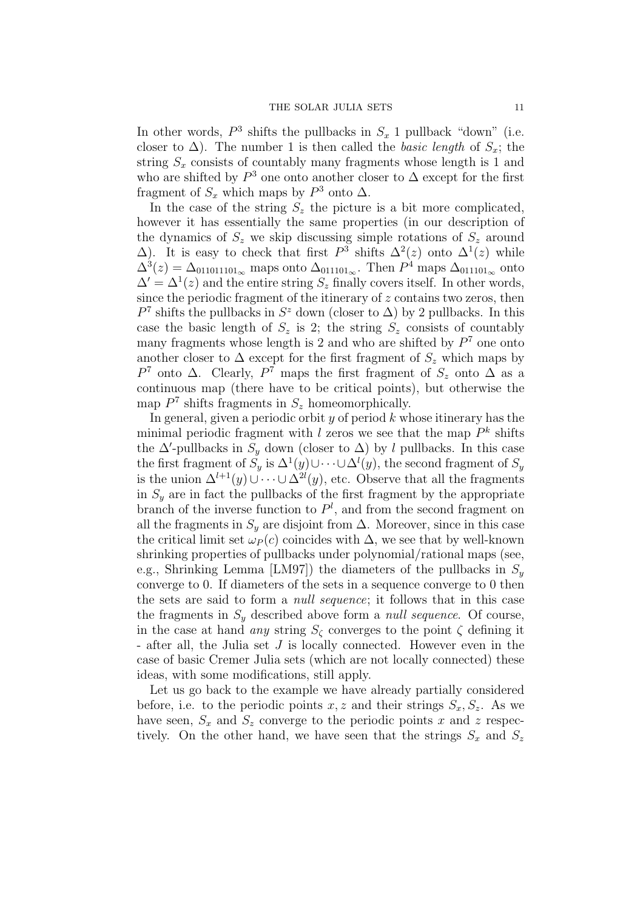In other words,  $P^3$  shifts the pullbacks in  $S_x$  1 pullback "down" (i.e. closer to  $\Delta$ ). The number 1 is then called the *basic length* of  $S_x$ ; the string  $S_x$  consists of countably many fragments whose length is 1 and who are shifted by  $P^3$  one onto another closer to  $\Delta$  except for the first fragment of  $S_x$  which maps by  $P^3$  onto  $\Delta$ .

In the case of the string  $S_z$  the picture is a bit more complicated, however it has essentially the same properties (in our description of the dynamics of  $S_z$  we skip discussing simple rotations of  $S_z$  around  $\Delta$ ). It is easy to check that first  $P^3$  shifts  $\Delta^2(z)$  onto  $\Delta^1(z)$  while  $\Delta^{3}(z) = \Delta_{011011101_{\infty}}$  maps onto  $\Delta_{011101_{\infty}}$ . Then  $P^{4}$  maps  $\Delta_{011101_{\infty}}$  onto  $\Delta' = \Delta^1(z)$  and the entire string  $S_z$  finally covers itself. In other words, since the periodic fragment of the itinerary of  $z$  contains two zeros, then  $P<sup>7</sup>$  shifts the pullbacks in  $S<sup>z</sup>$  down (closer to  $\Delta$ ) by 2 pullbacks. In this case the basic length of  $S_z$  is 2; the string  $S_z$  consists of countably many fragments whose length is 2 and who are shifted by  $P<sup>7</sup>$  one onto another closer to  $\Delta$  except for the first fragment of  $S_z$  which maps by P<sup>7</sup> onto  $\Delta$ . Clearly, P<sup>7</sup> maps the first fragment of  $S_z$  onto  $\Delta$  as a continuous map (there have to be critical points), but otherwise the map  $P<sup>7</sup>$  shifts fragments in  $S<sub>z</sub>$  homeomorphically.

In general, given a periodic orbit  $y$  of period  $k$  whose itinerary has the minimal periodic fragment with l zeros we see that the map  $P^k$  shifts the  $\Delta'$ -pullbacks in  $S_y$  down (closer to  $\Delta$ ) by l pullbacks. In this case the first fragment of  $S_y$  is  $\Delta^1(y) \cup \cdots \cup \Delta^l(y)$ , the second fragment of  $S_y$ is the union  $\Delta^{l+1}(y) \cup \cdots \cup \Delta^{2l}(y)$ , etc. Observe that all the fragments in  $S<sub>y</sub>$  are in fact the pullbacks of the first fragment by the appropriate branch of the inverse function to  $P<sup>l</sup>$ , and from the second fragment on all the fragments in  $S_y$  are disjoint from  $\Delta$ . Moreover, since in this case the critical limit set  $\omega_P(c)$  coincides with  $\Delta$ , we see that by well-known shrinking properties of pullbacks under polynomial/rational maps (see, e.g., Shrinking Lemma [LM97]) the diameters of the pullbacks in  $S_y$ converge to 0. If diameters of the sets in a sequence converge to 0 then the sets are said to form a null sequence; it follows that in this case the fragments in  $S_y$  described above form a *null sequence*. Of course, in the case at hand *any* string  $S_{\zeta}$  converges to the point  $\zeta$  defining it - after all, the Julia set J is locally connected. However even in the case of basic Cremer Julia sets (which are not locally connected) these ideas, with some modifications, still apply.

Let us go back to the example we have already partially considered before, i.e. to the periodic points x, z and their strings  $S_x, S_z$ . As we have seen,  $S_x$  and  $S_z$  converge to the periodic points x and z respectively. On the other hand, we have seen that the strings  $S_x$  and  $S_z$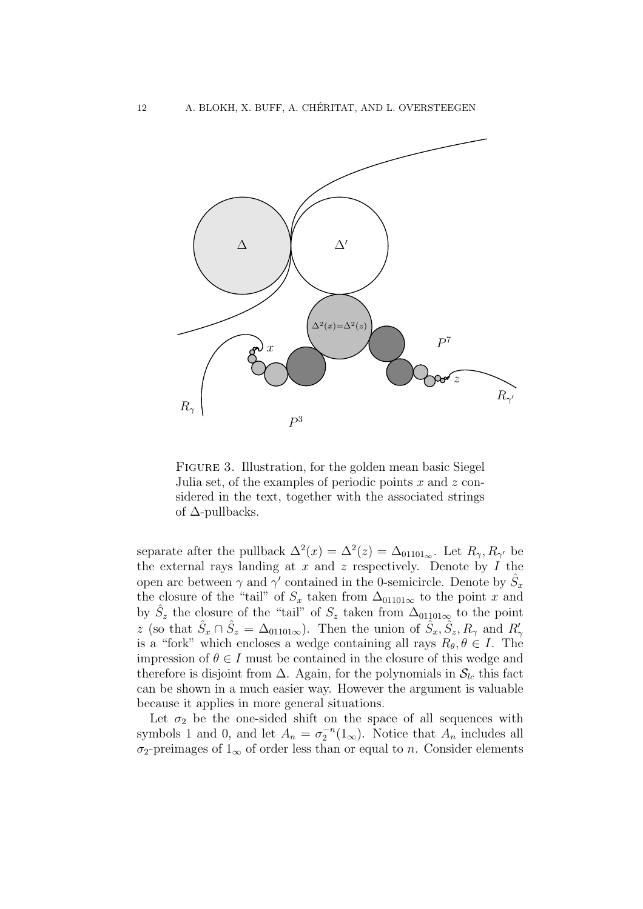

Figure 3. Illustration, for the golden mean basic Siegel Julia set, of the examples of periodic points  $x$  and  $z$  considered in the text, together with the associated strings of ∆-pullbacks.

separate after the pullback  $\Delta^2(x) = \Delta^2(z) = \Delta_{01101_{\infty}}$ . Let  $R_{\gamma}, R_{\gamma'}$  be the external rays landing at  $x$  and  $z$  respectively. Denote by  $I$  the open arc between  $\gamma$  and  $\gamma'$  contained in the 0-semicircle. Denote by  $\hat{S}_x$ the closure of the "tail" of  $S_x$  taken from  $\Delta_{01101\infty}$  to the point x and by  $\hat{S}_z$  the closure of the "tail" of  $S_z$  taken from  $\Delta_{01101\infty}$  to the point z (so that  $\hat{S}_x \cap \hat{S}_z = \Delta_{01101\infty}$ ). Then the union of  $\hat{S}_x, \hat{S}_z, R_\gamma$  and  $R'_\gamma$ is a "fork" which encloses a wedge containing all rays  $R_{\theta}$ ,  $\theta \in I$ . The impression of  $\theta \in I$  must be contained in the closure of this wedge and therefore is disjoint from  $\Delta$ . Again, for the polynomials in  $S_{lc}$  this fact can be shown in a much easier way. However the argument is valuable because it applies in more general situations.

Let  $\sigma_2$  be the one-sided shift on the space of all sequences with symbols 1 and 0, and let  $A_n = \sigma_2^{-n}(1_\infty)$ . Notice that  $A_n$  includes all  $\sigma_2$ -preimages of  $1_{\infty}$  of order less than or equal to n. Consider elements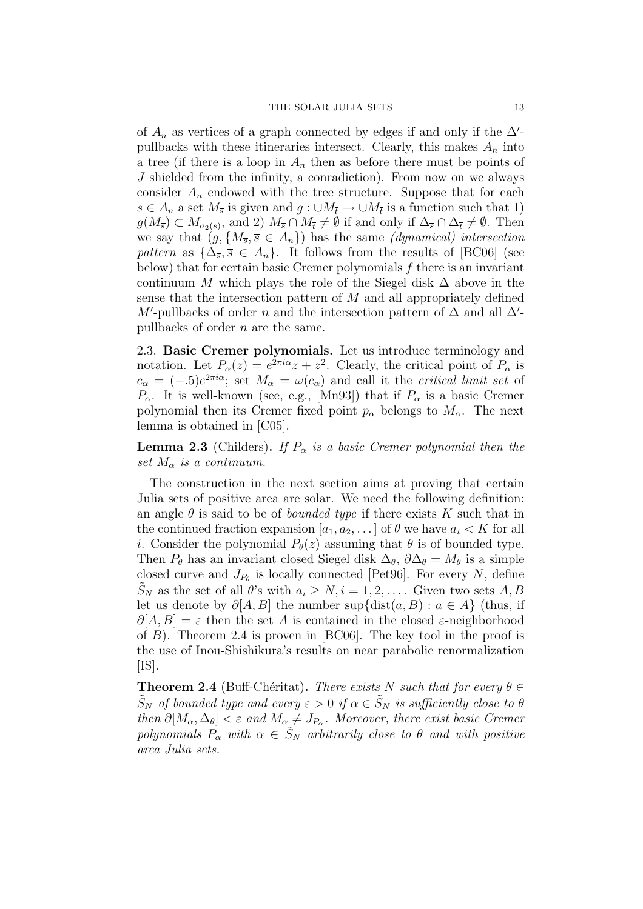of  $A_n$  as vertices of a graph connected by edges if and only if the  $\Delta'$ pullbacks with these itineraries intersect. Clearly, this makes  $A_n$  into a tree (if there is a loop in  $A_n$  then as before there must be points of J shielded from the infinity, a conradiction). From now on we always consider  $A_n$  endowed with the tree structure. Suppose that for each  $\overline{s} \in A_n$  a set  $M_{\overline{s}}$  is given and  $g: \cup M_{\overline{t}} \to \cup M_{\overline{t}}$  is a function such that 1)  $g(M_{\overline{s}}) \subset M_{\sigma_2(\overline{s})}$ , and 2)  $M_{\overline{s}} \cap M_{\overline{t}} \neq \emptyset$  if and only if  $\Delta_{\overline{s}} \cap \Delta_{\overline{t}} \neq \emptyset$ . Then we say that  $(g, \{M_{\overline{s}}, \overline{s} \in A_n\})$  has the same *(dynamical) intersection* pattern as  $\{\Delta_{\overline{s}}, \overline{s} \in A_n\}$ . It follows from the results of [BC06] (see below) that for certain basic Cremer polynomials  $f$  there is an invariant continuum M which plays the role of the Siegel disk  $\Delta$  above in the sense that the intersection pattern of  $M$  and all appropriately defined M'-pullbacks of order n and the intersection pattern of  $\Delta$  and all  $\Delta'$ pullbacks of order n are the same.

2.3. Basic Cremer polynomials. Let us introduce terminology and notation. Let  $P_{\alpha}(z) = e^{2\pi i \alpha} z + z^2$ . Clearly, the critical point of  $P_{\alpha}$  is  $c_{\alpha} = (-.5)e^{2\pi i \alpha}$ ; set  $M_{\alpha} = \omega(c_{\alpha})$  and call it the *critical limit set* of  $P_{\alpha}$ . It is well-known (see, e.g., [Mn93]) that if  $P_{\alpha}$  is a basic Cremer polynomial then its Cremer fixed point  $p_{\alpha}$  belongs to  $M_{\alpha}$ . The next lemma is obtained in [C05].

**Lemma 2.3** (Childers). If  $P_{\alpha}$  is a basic Cremer polynomial then the set  $M_{\alpha}$  is a continuum.

The construction in the next section aims at proving that certain Julia sets of positive area are solar. We need the following definition: an angle  $\theta$  is said to be of *bounded type* if there exists K such that in the continued fraction expansion  $[a_1, a_2, \ldots]$  of  $\theta$  we have  $a_i \lt K$  for all *i*. Consider the polynomial  $P_{\theta}(z)$  assuming that  $\theta$  is of bounded type. Then  $P_{\theta}$  has an invariant closed Siegel disk  $\Delta_{\theta}$ ,  $\partial \Delta_{\theta} = M_{\theta}$  is a simple closed curve and  $J_{P_{\theta}}$  is locally connected [Pet96]. For every N, define  $S_N$  as the set of all  $\theta$ 's with  $a_i \geq N, i = 1, 2, \ldots$ . Given two sets  $A, B$ let us denote by  $\partial[A, B]$  the number sup{dist $(a, B) : a \in A$ } (thus, if  $\partial[A, B] = \varepsilon$  then the set A is contained in the closed  $\varepsilon$ -neighborhood of  $B$ ). Theorem 2.4 is proven in [BC06]. The key tool in the proof is the use of Inou-Shishikura's results on near parabolic renormalization  $[IS]$ .

**Theorem 2.4** (Buff-Chéritat). There exists N such that for every  $\theta \in$  $\tilde{S}_N$  of bounded type and every  $\varepsilon > 0$  if  $\alpha \in \tilde{S}_N$  is sufficiently close to  $\theta$ then  $\partial [M_{\alpha}, \Delta_{\theta}] < \varepsilon$  and  $M_{\alpha} \neq J_{P_{\alpha}}$ . Moreover, there exist basic Cremer polynomials  $P_{\alpha}$  with  $\alpha \in \tilde{S}_N$  arbitrarily close to  $\theta$  and with positive area Julia sets.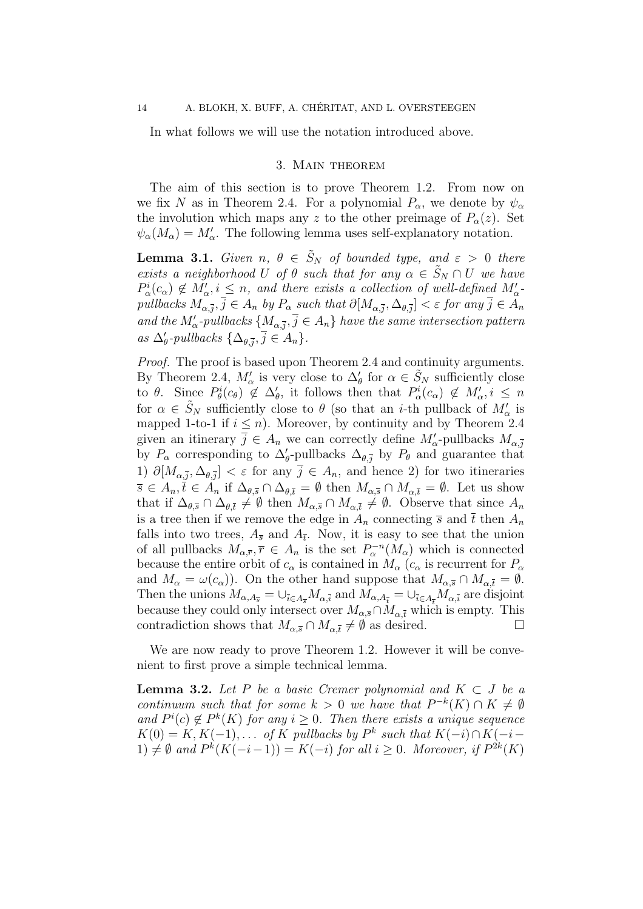In what follows we will use the notation introduced above.

#### 3. Main theorem

The aim of this section is to prove Theorem 1.2. From now on we fix N as in Theorem 2.4. For a polynomial  $P_{\alpha}$ , we denote by  $\psi_{\alpha}$ the involution which maps any z to the other preimage of  $P_{\alpha}(z)$ . Set  $\psi_{\alpha}(M_{\alpha}) = M'_{\alpha}$ . The following lemma uses self-explanatory notation.

**Lemma 3.1.** Given  $n, \theta \in \tilde{S}_N$  of bounded type, and  $\varepsilon > 0$  there exists a neighborhood U of  $\theta$  such that for any  $\alpha \in \tilde{S}_N \cap U$  we have  $P^i_\alpha(c_\alpha) \notin M'_\alpha, i \leq n$ , and there exists a collection of well-defined  $M'_\alpha$ pullbacks  $M_{\alpha,\overline{j}}, \overline{j} \in A_n$  by  $P_\alpha$  such that  $\partial[M_{\alpha,\overline{j}},\Delta_{\theta,\overline{j}}] < \varepsilon$  for any  $\overline{j} \in A_n$ and the  $M'_\text{\tiny \alpha}$ -pullbacks  $\{M_{\alpha,\bar{j}}, \bar{j} \in A_n\}$  have the same intersection pattern as  $\Delta'_{\theta}$ -pullbacks  $\{\Delta_{\theta,\overline{j}}, \overline{j} \in A_n\}.$ 

Proof. The proof is based upon Theorem 2.4 and continuity arguments. By Theorem 2.4,  $M'_\alpha$  is very close to  $\Delta'_{\theta}$  for  $\alpha \in \tilde{S}_N$  sufficiently close to  $\theta$ . Since  $P^i_{\theta}(c_{\theta}) \notin \Delta_{\theta}'$ , it follows then that  $P^i_{\alpha}(c_{\alpha}) \notin M'_{\alpha}, i \leq n$ for  $\alpha \in \tilde{S}_N$  sufficiently close to  $\theta$  (so that an *i*-th pullback of  $M'_\alpha$  is mapped 1-to-1 if  $i \leq n$ ). Moreover, by continuity and by Theorem 2.4 given an itinerary  $\bar{j} \in A_n$  we can correctly define  $M'_\text{\tiny \alpha}$ -pullbacks  $M_{\text{\tiny \alpha},\bar{j}}$ by  $P_{\alpha}$  corresponding to  $\Delta_{\theta}^{\prime}$ -pullbacks  $\Delta_{\theta,\bar{j}}$  by  $P_{\theta}$  and guarantee that 1)  $\partial[M_{\alpha,\bar{j}},\Delta_{\theta,\bar{j}}]<\varepsilon$  for any  $\bar{j}\in A_n$ , and hence 2) for two itineraries  $\overline{s} \in A_n, \overline{t} \in A_n$  if  $\Delta_{\theta, \overline{s}} \cap \Delta_{\theta, \overline{t}} = \emptyset$  then  $M_{\alpha, \overline{s}} \cap M_{\alpha, \overline{t}} = \emptyset$ . Let us show that if  $\Delta_{\theta,\bar{s}} \cap \Delta_{\theta,\bar{t}} \neq \emptyset$  then  $M_{\alpha,\bar{s}} \cap M_{\alpha,\bar{t}} \neq \emptyset$ . Observe that since  $A_n$ is a tree then if we remove the edge in  $A_n$  connecting  $\bar{s}$  and  $\bar{t}$  then  $A_n$ falls into two trees,  $A_{\overline{s}}$  and  $A_{\overline{t}}$ . Now, it is easy to see that the union of all pullbacks  $M_{\alpha,\bar{r}}$ ,  $\bar{r} \in A_n$  is the set  $P_{\alpha}^{-n}(M_{\alpha})$  which is connected because the entire orbit of  $c_{\alpha}$  is contained in  $M_{\alpha}$  ( $c_{\alpha}$  is recurrent for  $P_{\alpha}$ and  $M_{\alpha} = \omega(c_{\alpha})$ . On the other hand suppose that  $M_{\alpha,\bar{s}} \cap M_{\alpha,\bar{t}} = \emptyset$ . Then the unions  $M_{\alpha,A_{\overline{s}}} = \cup_{\overline{i} \in A_{\overline{s}}} M_{\alpha,\overline{i}}$  and  $M_{\alpha,A_{\overline{t}}} = \cup_{\overline{i} \in A_{\overline{t}}} M_{\alpha,\overline{i}}$  are disjoint because they could only intersect over  $M_{\alpha,\bar{s}} \cap M_{\alpha,\bar{t}}$  which is empty. This contradiction shows that  $M_{\alpha,\bar{s}} \cap M_{\alpha,\bar{t}} \neq \emptyset$  as desired.  $\Box$ 

We are now ready to prove Theorem 1.2. However it will be convenient to first prove a simple technical lemma.

**Lemma 3.2.** Let P be a basic Cremer polynomial and  $K \subset J$  be a continuum such that for some  $k > 0$  we have that  $P^{-k}(K) \cap K \neq \emptyset$ and  $P^{i}(c) \notin P^{k}(K)$  for any  $i \geq 0$ . Then there exists a unique sequence  $K(0) = K, K(-1), \ldots$  of K pullbacks by  $P^k$  such that  $K(-i) \cap K(-i-1)$ 1)  $\neq$  Ø and  $P^k(K(-i-1)) = K(-i)$  for all  $i ≥ 0$ . Moreover, if  $P^{2k}(K)$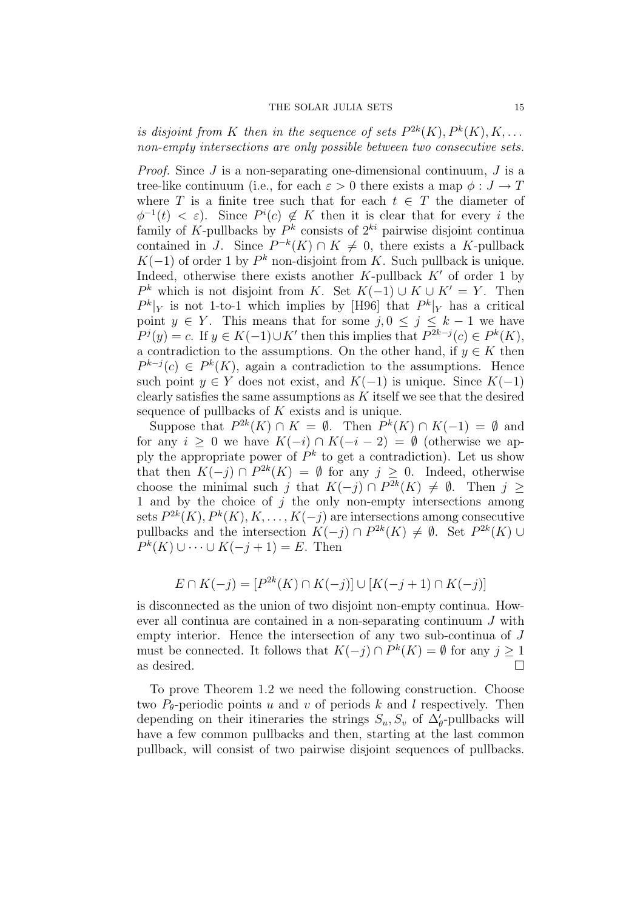is disjoint from K then in the sequence of sets  $P^{2k}(K)$ ,  $P^{k}(K)$ ,  $K$ ,... non-empty intersections are only possible between two consecutive sets.

*Proof.* Since  $J$  is a non-separating one-dimensional continuum,  $J$  is a tree-like continuum (i.e., for each  $\varepsilon > 0$  there exists a map  $\phi : J \to T$ where T is a finite tree such that for each  $t \in T$  the diameter of  $\phi^{-1}(t) < \varepsilon$ ). Since  $P^i(c) \notin K$  then it is clear that for every i the family of K-pullbacks by  $P^k$  consists of  $2^{ki}$  pairwise disjoint continua contained in J. Since  $P^{-k}(K) \cap K \neq 0$ , there exists a K-pullback  $K(-1)$  of order 1 by  $P^k$  non-disjoint from K. Such pullback is unique. Indeed, otherwise there exists another  $K$ -pullback  $K'$  of order 1 by  $P^k$  which is not disjoint from K. Set  $K(-1) \cup K \cup K' = Y$ . Then  $P^k|_Y$  is not 1-to-1 which implies by [H96] that  $P^k|_Y$  has a critical point  $y \in Y$ . This means that for some  $j, 0 \le j \le k-1$  we have  $P^j(y) = c$ . If  $y \in K(-1) \cup K'$  then this implies that  $P^{2k-j}(c) \in P^k(K)$ , a contradiction to the assumptions. On the other hand, if  $y \in K$  then  $P^{k-j}(c) \in P^k(K)$ , again a contradiction to the assumptions. Hence such point  $y \in Y$  does not exist, and  $K(-1)$  is unique. Since  $K(-1)$ clearly satisfies the same assumptions as  $K$  itself we see that the desired sequence of pullbacks of  $K$  exists and is unique.

Suppose that  $P^{2k}(K) \cap K = \emptyset$ . Then  $P^{k}(K) \cap K(-1) = \emptyset$  and for any  $i \geq 0$  we have  $K(-i) \cap K(-i-2) = \emptyset$  (otherwise we apply the appropriate power of  $P^k$  to get a contradiction). Let us show that then  $K(-j) \cap P^{2k}(K) = \emptyset$  for any  $j \geq 0$ . Indeed, otherwise choose the minimal such j that  $K(-j) \cap P^{2k}(K) \neq \emptyset$ . Then  $j \geq$ 1 and by the choice of  $j$  the only non-empty intersections among sets  $P^{2k}(K), P^{k}(K), K, \ldots, K(-j)$  are intersections among consecutive pullbacks and the intersection  $K(-j) \cap P^{2k}(K) \neq \emptyset$ . Set  $P^{2k}(K) \cup$  $P^{k}(K) \cup \cdots \cup K(-j+1) = E$ . Then

$$
E \cap K(-j) = [P^{2k}(K) \cap K(-j)] \cup [K(-j+1) \cap K(-j)]
$$

is disconnected as the union of two disjoint non-empty continua. However all continua are contained in a non-separating continuum J with empty interior. Hence the intersection of any two sub-continua of J must be connected. It follows that  $K(-j) \cap P^k(K) = \emptyset$  for any  $j \geq 1$ as desired.  $\Box$ 

To prove Theorem 1.2 we need the following construction. Choose two  $P_{\theta}$ -periodic points u and v of periods k and l respectively. Then depending on their itineraries the strings  $S_u, S_v$  of  $\Delta'_{\theta}$ -pullbacks will have a few common pullbacks and then, starting at the last common pullback, will consist of two pairwise disjoint sequences of pullbacks.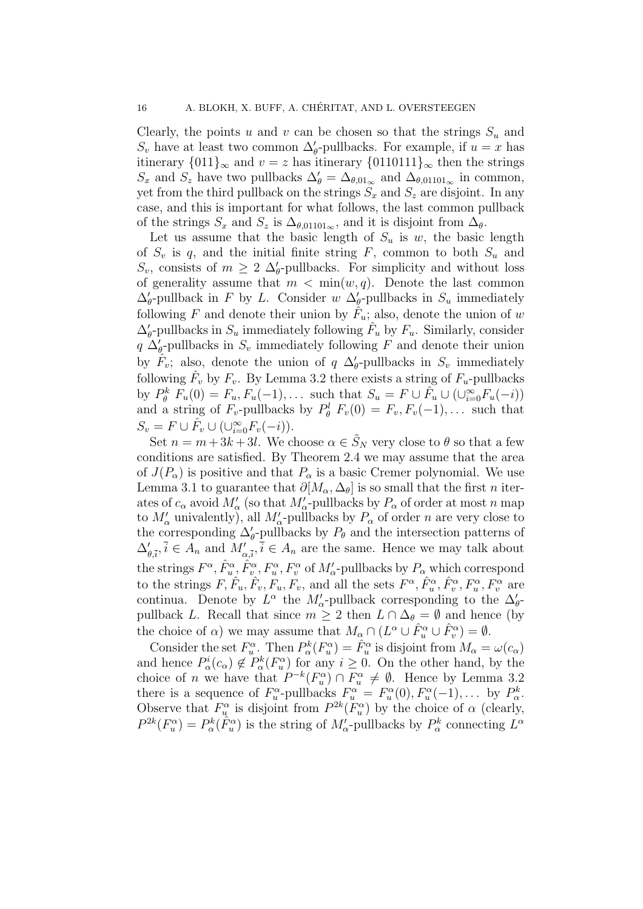Clearly, the points u and v can be chosen so that the strings  $S_u$  and  $S_v$  have at least two common  $\Delta'_{\theta}$ -pullbacks. For example, if  $u = x$  has itinerary  $\{011\}_{\infty}$  and  $v = z$  has itinerary  $\{0110111\}_{\infty}$  then the strings  $S_x$  and  $S_z$  have two pullbacks  $\Delta'_{\theta} = \Delta_{\theta,01_{\infty}}$  and  $\Delta_{\theta,01101_{\infty}}$  in common, yet from the third pullback on the strings  $S_x$  and  $S_z$  are disjoint. In any case, and this is important for what follows, the last common pullback of the strings  $S_x$  and  $S_z$  is  $\Delta_{\theta,01101_{\infty}}$ , and it is disjoint from  $\Delta_{\theta}$ .

Let us assume that the basic length of  $S_u$  is w, the basic length of  $S_v$  is q, and the initial finite string F, common to both  $S_u$  and  $S_v$ , consists of  $m \geq 2 \Delta_{\theta}$ -pullbacks. For simplicity and without loss of generality assume that  $m < \min(w, q)$ . Denote the last common  $\Delta_{\theta}$ -pullback in F by L. Consider w  $\Delta_{\theta}$ -pullbacks in  $S_u$  immediately following F and denote their union by  $\hat{F}_u$ ; also, denote the union of w  $\Delta_{\theta}$ -pullbacks in  $S_u$  immediately following  $\hat{F}_u$  by  $F_u$ . Similarly, consider  $q \Delta_{\theta}$ -pullbacks in  $S_v$  immediately following F and denote their union by  $\hat{F}_v$ ; also, denote the union of q  $\Delta_{\theta}$ -pullbacks in  $S_v$  immediately following  $\hat{F}_v$  by  $F_v$ . By Lemma 3.2 there exists a string of  $F_u$ -pullbacks by  $P_{\theta}^{k} F_{u}(0) = F_{u}, F_{u}(-1), \ldots$  such that  $S_{u} = F \cup \tilde{F}_{u} \cup (\cup_{i=0}^{\infty} F_{u}(-i))$ and a string of  $F_v$ -pullbacks by  $P^l_{\theta}$   $F_v(0) = F_v, F_v(-1), \dots$  such that  $S_v = F \cup \hat{F}_v \cup (\cup_{i=0}^{\infty} F_v(-i)).$ 

Set  $n = m + 3k + 3l$ . We choose  $\alpha \in \tilde{S}_N$  very close to  $\theta$  so that a few conditions are satisfied. By Theorem 2.4 we may assume that the area of  $J(P_\alpha)$  is positive and that  $P_\alpha$  is a basic Cremer polynomial. We use Lemma 3.1 to guarantee that  $\partial[M_{\alpha}, \Delta_{\theta}]$  is so small that the first *n* iterates of  $c_{\alpha}$  avoid  $M'_{\alpha}$  (so that  $M'_{\alpha}$ -pullbacks by  $P_{\alpha}$  of order at most n map to  $M'_\alpha$  univalently), all  $M'_\alpha$ -pullbacks by  $P_\alpha$  of order n are very close to the corresponding  $\Delta'_{\theta}$ -pullbacks by  $P_{\theta}$  and the intersection patterns of  $\Delta'_{\theta,\bar{i}}, \bar{i} \in A_n$  and  $M'_{\alpha,\bar{i}}, \bar{i} \in A_n$  are the same. Hence we may talk about the strings  $F^{\alpha}$ ,  $\hat{F}_{u}^{\alpha}$ ,  $\hat{F}_{v}^{\alpha}$ ,  $F_{u}^{\alpha}$ ,  $F_{v}^{\alpha}$  of  $M'_{\alpha}$ -pullbacks by  $P_{\alpha}$  which correspond to the strings  $\tilde{F}, \tilde{F}_u, \tilde{F}_v, \tilde{F}_u, \tilde{F}_v$ , and all the sets  $\tilde{F}^\alpha, \tilde{F}^\alpha_u, \tilde{F}^\alpha_v, F^\alpha_u, F^\alpha_v$  are continua. Denote by  $L^{\alpha}$  the  $M'_{\alpha}$ -pullback corresponding to the  $\Delta'_{\theta}$ pullback L. Recall that since  $m \geq 2$  then  $L \cap \Delta_{\theta} = \emptyset$  and hence (by the choice of  $\alpha$ ) we may assume that  $M_{\alpha} \cap (L^{\alpha} \cup \hat{F}_{u}^{\alpha} \cup \hat{F}_{v}^{\alpha}) = \emptyset$ .

Consider the set  $F_u^{\alpha}$ . Then  $P_{\alpha}^k(F_u^{\alpha}) = \hat{F}_u^{\alpha}$  is disjoint from  $M_{\alpha} = \omega(c_{\alpha})$ and hence  $P^i_{\alpha}(c_{\alpha}) \notin P^k_{\alpha}(F^{\alpha}_u)$  for any  $i \geq 0$ . On the other hand, by the choice of *n* we have that  $P^{-k}(F_u^{\alpha}) \cap F_u^{\alpha} \neq \emptyset$ . Hence by Lemma 3.2 there is a sequence of  $F_u^{\alpha}$ -pullbacks  $F_u^{\alpha} = F_u^{\alpha}(0), F_u^{\alpha}(-1), \dots$  by  $P_{\alpha}^k$ . Observe that  $F_u^{\alpha}$  is disjoint from  $P^{2k}(F_u^{\alpha})$  by the choice of  $\alpha$  (clearly,  $P^{2k}(F_u^{\alpha}) = P_{\alpha}^k(\hat{F}_u^{\alpha})$  is the string of  $M'_{\alpha}$ -pullbacks by  $P_{\alpha}^k$  connecting  $L^{\alpha}$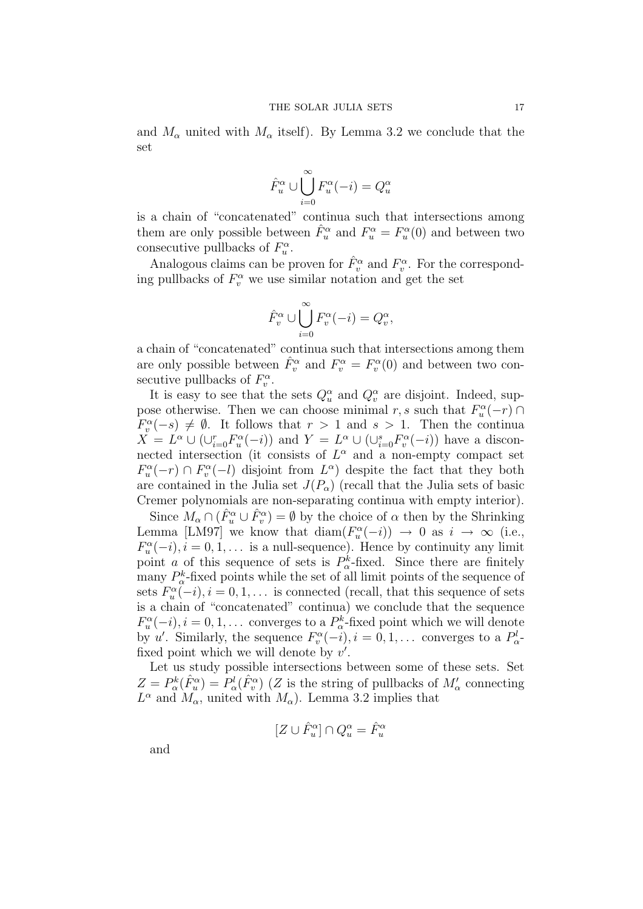and  $M_{\alpha}$  united with  $M_{\alpha}$  itself). By Lemma 3.2 we conclude that the set

$$
\hat{F}_u^{\alpha} \cup \bigcup_{i=0}^{\infty} F_u^{\alpha}(-i) = Q_u^{\alpha}
$$

is a chain of "concatenated" continua such that intersections among them are only possible between  $\hat{F}_u^{\alpha}$  and  $F_u^{\alpha} = F_u^{\alpha}(0)$  and between two consecutive pullbacks of  $F_u^{\alpha}$ .

Analogous claims can be proven for  $\hat{F}_v^{\alpha}$  and  $F_v^{\alpha}$ . For the corresponding pullbacks of  $F_v^{\alpha}$  we use similar notation and get the set

$$
\hat{F}_v^{\alpha} \cup \bigcup_{i=0}^{\infty} F_v^{\alpha}(-i) = Q_v^{\alpha},
$$

a chain of "concatenated" continua such that intersections among them are only possible between  $\hat{F}_v^{\alpha}$  and  $F_v^{\alpha} = F_v^{\alpha}(0)$  and between two consecutive pullbacks of  $F_v^{\alpha}$ .

It is easy to see that the sets  $Q_u^{\alpha}$  and  $Q_v^{\alpha}$  are disjoint. Indeed, suppose otherwise. Then we can choose minimal r, s such that  $F_u^{\alpha}(-r) \cap$  $F_v^{\alpha}(-s) \neq \emptyset$ . It follows that  $r > 1$  and  $s > 1$ . Then the continua  $X = L^{\alpha} \cup (\cup_{i=0}^{r} F^{\alpha}_{u}(-i))$  and  $Y = L^{\alpha} \cup (\cup_{i=0}^{s} F^{\alpha}_{v}(-i))$  have a disconnected intersection (it consists of  $L^{\alpha}$  and a non-empty compact set  $F_u^{\alpha}(-r) \cap F_v^{\alpha}(-l)$  disjoint from  $L^{\alpha}$ ) despite the fact that they both are contained in the Julia set  $J(P_\alpha)$  (recall that the Julia sets of basic Cremer polynomials are non-separating continua with empty interior).

Since  $M_\alpha \cap (\hat{F}_u^{\alpha} \cup \hat{F}_v^{\alpha}) = \emptyset$  by the choice of  $\alpha$  then by the Shrinking Lemma [LM97] we know that  $\text{diam}(F_u^{\alpha}(-i)) \to 0$  as  $i \to \infty$  (i.e.,  $F_u^{\alpha}(-i), i = 0, 1, \ldots$  is a null-sequence). Hence by continuity any limit point *a* of this sequence of sets is  $P^k_\alpha$ -fixed. Since there are finitely many  $P^k_{\alpha}$ -fixed points while the set of all limit points of the sequence of sets  $F_u^{\alpha}(-i), i = 0, 1, \ldots$  is connected (recall, that this sequence of sets is a chain of "concatenated" continua) we conclude that the sequence  $F_u^{\alpha}(-i), i = 0, 1, \ldots$  converges to a  $P_{\alpha}^k$ -fixed point which we will denote by u'. Similarly, the sequence  $F_v^{\alpha}(-i)$ ,  $i = 0, 1, \ldots$  converges to a  $P_{\alpha}^l$ fixed point which we will denote by  $v'$ .

Let us study possible intersections between some of these sets. Set  $Z = P^k_\alpha(\hat{F}^\alpha_u) = P^l_\alpha(\hat{F}^\alpha_v)$  (Z is the string of pullbacks of  $M'_\alpha$  connecting  $L^{\alpha}$  and  $M_{\alpha}$ , united with  $M_{\alpha}$ ). Lemma 3.2 implies that

 $[Z\cup \hat F_u^\alpha]\cap Q_u^\alpha=\hat F_u^\alpha$ 

and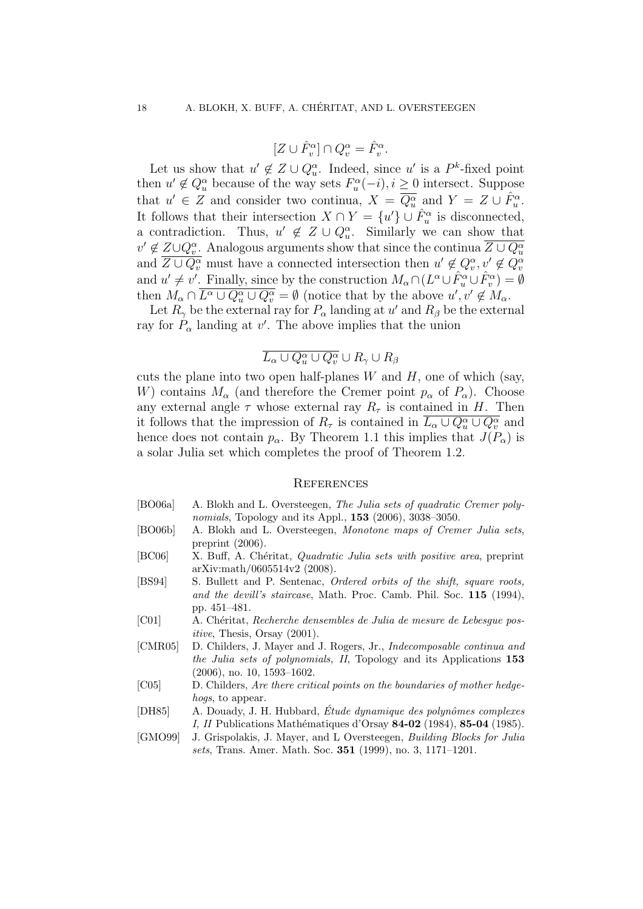$$
[Z\cup \hat F_v^\alpha]\cap Q_v^\alpha=\hat F_v^\alpha.
$$

Let us show that  $u' \notin Z \cup Q_u^{\alpha}$ . Indeed, since u' is a  $P^k$ -fixed point then  $u' \notin Q_u^{\alpha}$  because of the way sets  $F_u^{\alpha}(-i), i \geq 0$  intersect. Suppose that  $u' \in Z$  and consider two continua,  $X = \overline{Q_u^{\alpha}}$  and  $Y = Z \cup \hat{F}_u^{\alpha}$ . It follows that their intersection  $X \cap Y = \{u'\} \cup \mathring{F}_u^{\alpha}$  is disconnected, a contradiction. Thus,  $u' \notin Z \cup Q_u^{\alpha}$ . Similarly we can show that  $v' \notin Z \cup Q_v^{\alpha}$ . Analogous arguments show that since the continua  $\overline{Z \cup Q_u^{\alpha}}$ and  $\overline{Z \cup Q_v^{\alpha}}$  must have a connected intersection then  $u' \notin Q_v^{\alpha}, v' \notin Q_v^{\alpha}$ and  $u' \neq v'$ . Finally, since by the construction  $M_{\alpha} \cap (L^{\alpha} \cup \hat{F}_{u}^{\alpha} \cup \hat{F}_{v}^{\alpha}) = \emptyset$ then  $M_{\alpha} \cap \overline{L^{\alpha} \cup Q_{u}^{\alpha} \cup Q_{v}^{\alpha}} = \emptyset$  (notice that by the above  $u', v' \notin M_{\alpha}$ .

Let  $R_{\gamma}$  be the external ray for  $P_{\alpha}$  landing at u' and  $R_{\beta}$  be the external ray for  $P_{\alpha}$  landing at v'. The above implies that the union

# $\overline{L_{\alpha}\cup Q^{\alpha}_u\cup Q^{\alpha}_v}\cup R_{\gamma}\cup R_{\beta}$

cuts the plane into two open half-planes  $W$  and  $H$ , one of which (say, W) contains  $M_{\alpha}$  (and therefore the Cremer point  $p_{\alpha}$  of  $P_{\alpha}$ ). Choose any external angle  $\tau$  whose external ray  $R_{\tau}$  is contained in H. Then it follows that the impression of  $R_{\tau}$  is contained in  $\overline{L_{\alpha} \cup Q_{u}^{\alpha} \cup Q_{v}^{\alpha}}$  and hence does not contain  $p_{\alpha}$ . By Theorem 1.1 this implies that  $J(P_{\alpha})$  is a solar Julia set which completes the proof of Theorem 1.2.

### **REFERENCES**

- [BO06a] A. Blokh and L. Oversteegen, The Julia sets of quadratic Cremer polynomials, Topology and its Appl., 153 (2006), 3038–3050.
- [BO06b] A. Blokh and L. Oversteegen, Monotone maps of Cremer Julia sets, preprint (2006).
- [BC06] X. Buff, A. Chéritat, *Quadratic Julia sets with positive area*, preprint arXiv:math/0605514v2 (2008).
- [BS94] S. Bullett and P. Sentenac, Ordered orbits of the shift, square roots, and the devill's staircase, Math. Proc. Camb. Phil. Soc. 115 (1994), pp. 451–481.
- [C01] A. Chéritat, Recherche densembles de Julia de mesure de Lebesgue positive, Thesis, Orsay (2001).
- [CMR05] D. Childers, J. Mayer and J. Rogers, Jr., Indecomposable continua and the Julia sets of polynomials, II, Topology and its Applications 153 (2006), no. 10, 1593–1602.
- [C05] D. Childers, Are there critical points on the boundaries of mother hedgehogs, to appear.
- [DH85] A. Douady, J. H. Hubbard, Étude dynamique des polynômes complexes I, II Publications Mathématiques d'Orsay 84-02 (1984), 85-04 (1985).
- [GMO99] J. Grispolakis, J. Mayer, and L Oversteegen, Building Blocks for Julia sets, Trans. Amer. Math. Soc. 351 (1999), no. 3, 1171–1201.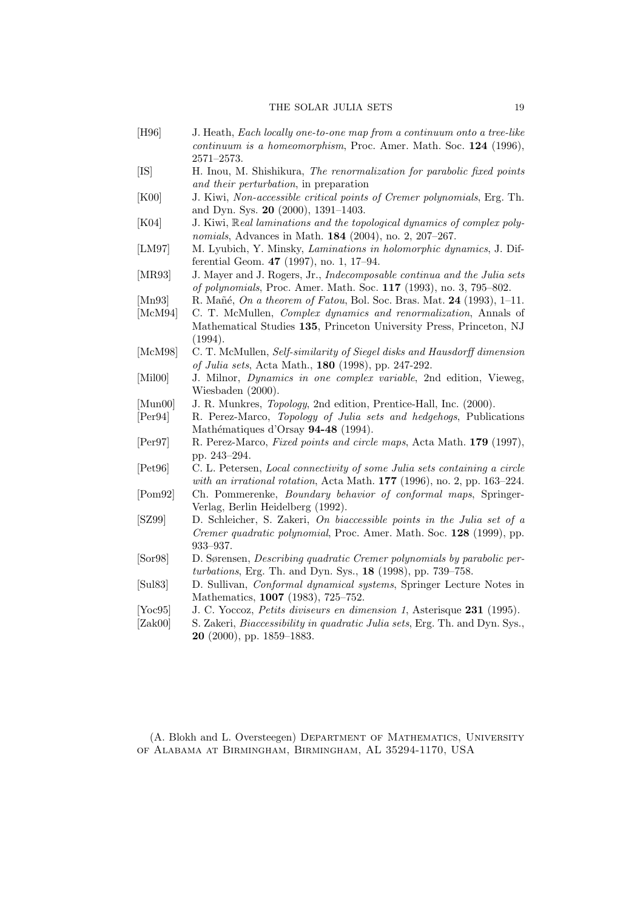- [H96] J. Heath, Each locally one-to-one map from a continuum onto a tree-like continuum is a homeomorphism, Proc. Amer. Math. Soc. 124 (1996), 2571–2573.
- [IS] H. Inou, M. Shishikura, The renormalization for parabolic fixed points and their perturbation, in preparation
- [K00] J. Kiwi, Non-accessible critical points of Cremer polynomials, Erg. Th. and Dyn. Sys. 20 (2000), 1391–1403.
- [K04] J. Kiwi, Real laminations and the topological dynamics of complex polynomials, Advances in Math. 184 (2004), no. 2, 207–267.
- [LM97] M. Lyubich, Y. Minsky, Laminations in holomorphic dynamics, J. Differential Geom. 47 (1997), no. 1, 17–94.
- [MR93] J. Mayer and J. Rogers, Jr., Indecomposable continua and the Julia sets of polynomials, Proc. Amer. Math. Soc. 117 (1993), no. 3, 795–802.
- [Mn93] R. Mañé, On a theorem of Fatou, Bol. Soc. Bras. Mat. 24 (1993), 1-11.
- [McM94] C. T. McMullen, Complex dynamics and renormalization, Annals of Mathematical Studies 135, Princeton University Press, Princeton, NJ (1994).
- [McM98] C. T. McMullen, Self-similarity of Siegel disks and Hausdorff dimension of Julia sets, Acta Math., 180 (1998), pp. 247-292.
- [Mil00] J. Milnor, Dynamics in one complex variable, 2nd edition, Vieweg, Wiesbaden (2000).
- [Mun00] J. R. Munkres, *Topology*, 2nd edition, Prentice-Hall, Inc. (2000).
- [Per94] R. Perez-Marco, Topology of Julia sets and hedgehogs, Publications Mathématiques d'Orsay 94-48 (1994).
- [Per97] R. Perez-Marco, Fixed points and circle maps, Acta Math. 179 (1997), pp. 243–294.
- [Pet96] C. L. Petersen, Local connectivity of some Julia sets containing a circle with an irrational rotation, Acta Math. 177 (1996), no. 2, pp. 163–224.
- [Pom92] Ch. Pommerenke, Boundary behavior of conformal maps, Springer-Verlag, Berlin Heidelberg (1992).
- [SZ99] D. Schleicher, S. Zakeri, On biaccessible points in the Julia set of a Cremer quadratic polynomial, Proc. Amer. Math. Soc. 128 (1999), pp. 933–937.
- [Sor98] D. Sørensen, Describing quadratic Cremer polynomials by parabolic perturbations, Erg. Th. and Dyn. Sys., 18 (1998), pp. 739–758.
- [Sul83] D. Sullivan, Conformal dynamical systems, Springer Lecture Notes in Mathematics, 1007 (1983), 725–752.
- [Yoc95] J. C. Yoccoz, *Petits diviseurs en dimension 1*, Asterisque 231 (1995).
- [Zak00] S. Zakeri, *Biaccessibility in quadratic Julia sets*, Erg. Th. and Dyn. Sys., 20 (2000), pp. 1859–1883.

(A. Blokh and L. Oversteegen) Department of Mathematics, University of Alabama at Birmingham, Birmingham, AL 35294-1170, USA